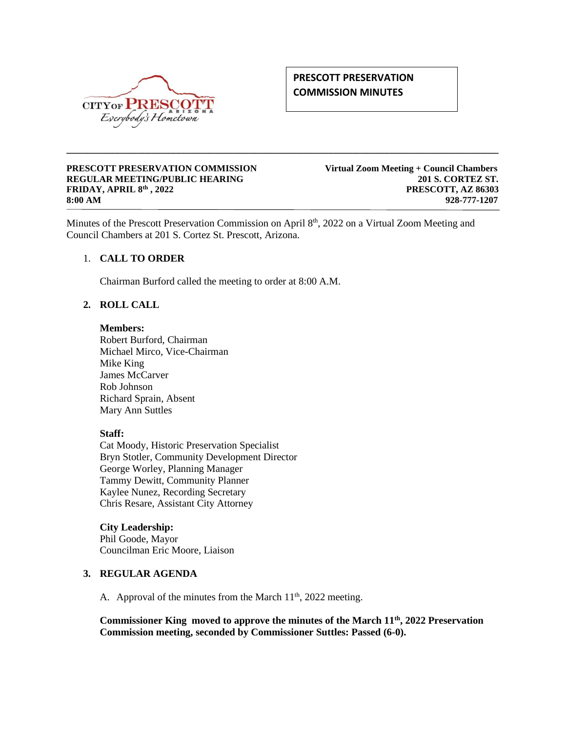

# **PRESCOTT PRESERVATION COMMISSION MINUTES**

#### **PRESCOTT PRESERVATION COMMISSION Virtual Zoom Meeting + Council Chambers REGULAR MEETING/PUBLIC HEARING 201 S. CORTEZ ST. FRIDAY, APRIL 8th , 2022 PRESCOTT, AZ 86303 8:00 AM 928-777-1207**

Minutes of the Prescott Preservation Commission on April 8<sup>th</sup>, 2022 on a Virtual Zoom Meeting and Council Chambers at 201 S. Cortez St. Prescott, Arizona.

**\_\_\_\_\_\_\_\_\_\_\_\_\_\_\_\_\_\_\_\_\_\_\_\_\_\_\_\_\_\_\_\_\_\_\_\_\_\_\_\_\_\_\_\_\_\_\_\_\_\_\_\_\_\_\_\_\_\_\_\_\_\_\_\_\_\_\_\_\_\_\_\_\_\_\_\_\_\_\_\_\_\_\_\_\_**

## 1. **CALL TO ORDER**

Chairman Burford called the meeting to order at 8:00 A.M.

## **2. ROLL CALL**

**Members:**

Robert Burford, Chairman Michael Mirco, Vice-Chairman Mike King James McCarver Rob Johnson Richard Sprain, Absent Mary Ann Suttles

#### **Staff:**

Cat Moody, Historic Preservation Specialist Bryn Stotler, Community Development Director George Worley, Planning Manager Tammy Dewitt, Community Planner Kaylee Nunez, Recording Secretary Chris Resare, Assistant City Attorney

# **City Leadership:**

Phil Goode, Mayor Councilman Eric Moore, Liaison

#### **3. REGULAR AGENDA**

A. Approval of the minutes from the March  $11<sup>th</sup>$ , 2022 meeting.

**Commissioner King moved to approve the minutes of the March 11th, 2022 Preservation Commission meeting, seconded by Commissioner Suttles: Passed (6-0).**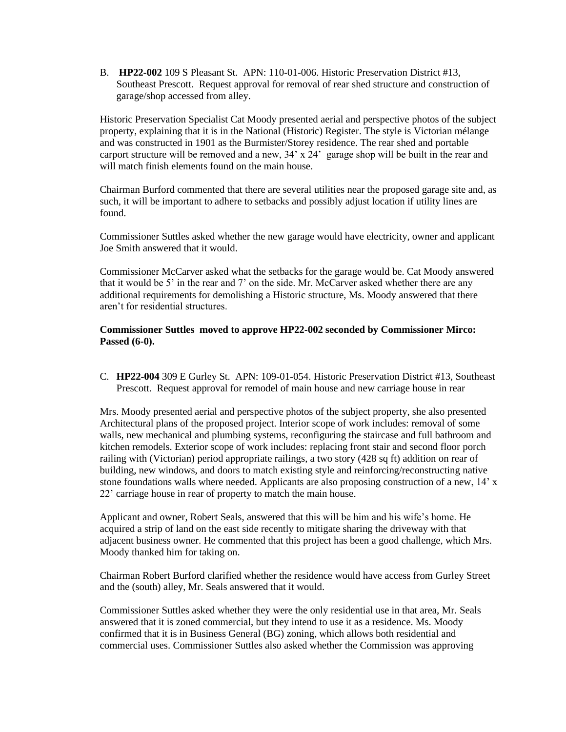B. **HP22-002** 109 S Pleasant St. APN: 110-01-006. Historic Preservation District #13, Southeast Prescott. Request approval for removal of rear shed structure and construction of garage/shop accessed from alley.

Historic Preservation Specialist Cat Moody presented aerial and perspective photos of the subject property, explaining that it is in the National (Historic) Register. The style is Victorian mélange and was constructed in 1901 as the Burmister/Storey residence. The rear shed and portable carport structure will be removed and a new,  $34' \times 24'$  garage shop will be built in the rear and will match finish elements found on the main house.

Chairman Burford commented that there are several utilities near the proposed garage site and, as such, it will be important to adhere to setbacks and possibly adjust location if utility lines are found.

Commissioner Suttles asked whether the new garage would have electricity, owner and applicant Joe Smith answered that it would.

Commissioner McCarver asked what the setbacks for the garage would be. Cat Moody answered that it would be 5' in the rear and 7' on the side. Mr. McCarver asked whether there are any additional requirements for demolishing a Historic structure, Ms. Moody answered that there aren't for residential structures.

#### **Commissioner Suttles moved to approve HP22-002 seconded by Commissioner Mirco: Passed (6-0).**

C. **HP22-004** 309 E Gurley St. APN: 109-01-054. Historic Preservation District #13, Southeast Prescott. Request approval for remodel of main house and new carriage house in rear

Mrs. Moody presented aerial and perspective photos of the subject property, she also presented Architectural plans of the proposed project. Interior scope of work includes: removal of some walls, new mechanical and plumbing systems, reconfiguring the staircase and full bathroom and kitchen remodels. Exterior scope of work includes: replacing front stair and second floor porch railing with (Victorian) period appropriate railings, a two story (428 sq ft) addition on rear of building, new windows, and doors to match existing style and reinforcing/reconstructing native stone foundations walls where needed. Applicants are also proposing construction of a new, 14' x 22' carriage house in rear of property to match the main house.

Applicant and owner, Robert Seals, answered that this will be him and his wife's home. He acquired a strip of land on the east side recently to mitigate sharing the driveway with that adjacent business owner. He commented that this project has been a good challenge, which Mrs. Moody thanked him for taking on.

Chairman Robert Burford clarified whether the residence would have access from Gurley Street and the (south) alley, Mr. Seals answered that it would.

Commissioner Suttles asked whether they were the only residential use in that area, Mr. Seals answered that it is zoned commercial, but they intend to use it as a residence. Ms. Moody confirmed that it is in Business General (BG) zoning, which allows both residential and commercial uses. Commissioner Suttles also asked whether the Commission was approving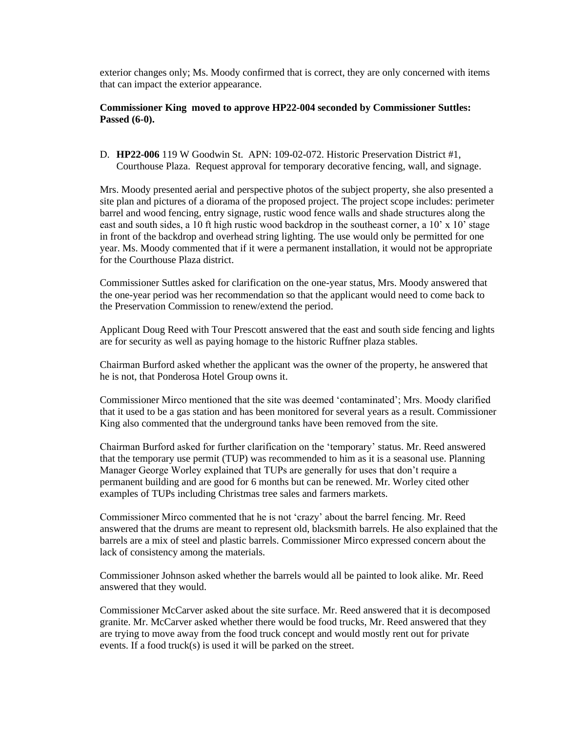exterior changes only; Ms. Moody confirmed that is correct, they are only concerned with items that can impact the exterior appearance.

#### **Commissioner King moved to approve HP22-004 seconded by Commissioner Suttles: Passed (6-0).**

D. **HP22-006** 119 W Goodwin St. APN: 109-02-072. Historic Preservation District #1, Courthouse Plaza. Request approval for temporary decorative fencing, wall, and signage.

Mrs. Moody presented aerial and perspective photos of the subject property, she also presented a site plan and pictures of a diorama of the proposed project. The project scope includes: perimeter barrel and wood fencing, entry signage, rustic wood fence walls and shade structures along the east and south sides, a 10 ft high rustic wood backdrop in the southeast corner, a 10' x 10' stage in front of the backdrop and overhead string lighting. The use would only be permitted for one year. Ms. Moody commented that if it were a permanent installation, it would not be appropriate for the Courthouse Plaza district.

Commissioner Suttles asked for clarification on the one-year status, Mrs. Moody answered that the one-year period was her recommendation so that the applicant would need to come back to the Preservation Commission to renew/extend the period.

Applicant Doug Reed with Tour Prescott answered that the east and south side fencing and lights are for security as well as paying homage to the historic Ruffner plaza stables.

Chairman Burford asked whether the applicant was the owner of the property, he answered that he is not, that Ponderosa Hotel Group owns it.

Commissioner Mirco mentioned that the site was deemed 'contaminated'; Mrs. Moody clarified that it used to be a gas station and has been monitored for several years as a result. Commissioner King also commented that the underground tanks have been removed from the site.

Chairman Burford asked for further clarification on the 'temporary' status. Mr. Reed answered that the temporary use permit (TUP) was recommended to him as it is a seasonal use. Planning Manager George Worley explained that TUPs are generally for uses that don't require a permanent building and are good for 6 months but can be renewed. Mr. Worley cited other examples of TUPs including Christmas tree sales and farmers markets.

Commissioner Mirco commented that he is not 'crazy' about the barrel fencing. Mr. Reed answered that the drums are meant to represent old, blacksmith barrels. He also explained that the barrels are a mix of steel and plastic barrels. Commissioner Mirco expressed concern about the lack of consistency among the materials.

Commissioner Johnson asked whether the barrels would all be painted to look alike. Mr. Reed answered that they would.

Commissioner McCarver asked about the site surface. Mr. Reed answered that it is decomposed granite. Mr. McCarver asked whether there would be food trucks, Mr. Reed answered that they are trying to move away from the food truck concept and would mostly rent out for private events. If a food truck(s) is used it will be parked on the street.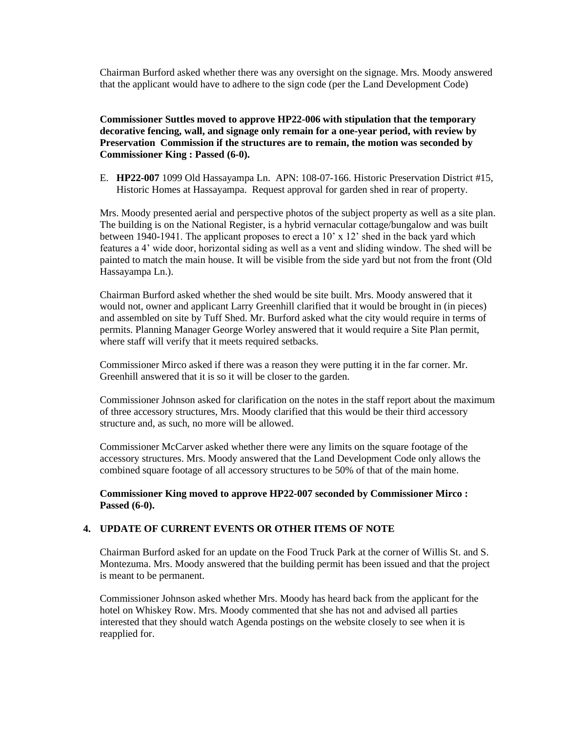Chairman Burford asked whether there was any oversight on the signage. Mrs. Moody answered that the applicant would have to adhere to the sign code (per the Land Development Code)

**Commissioner Suttles moved to approve HP22-006 with stipulation that the temporary decorative fencing, wall, and signage only remain for a one-year period, with review by Preservation Commission if the structures are to remain, the motion was seconded by Commissioner King : Passed (6-0).**

E. **HP22-007** 1099 Old Hassayampa Ln. APN: 108-07-166. Historic Preservation District #15, Historic Homes at Hassayampa. Request approval for garden shed in rear of property.

Mrs. Moody presented aerial and perspective photos of the subject property as well as a site plan. The building is on the National Register, is a hybrid vernacular cottage/bungalow and was built between 1940-1941. The applicant proposes to erect a 10' x 12' shed in the back yard which features a 4' wide door, horizontal siding as well as a vent and sliding window. The shed will be painted to match the main house. It will be visible from the side yard but not from the front (Old Hassayampa Ln.).

Chairman Burford asked whether the shed would be site built. Mrs. Moody answered that it would not, owner and applicant Larry Greenhill clarified that it would be brought in (in pieces) and assembled on site by Tuff Shed. Mr. Burford asked what the city would require in terms of permits. Planning Manager George Worley answered that it would require a Site Plan permit, where staff will verify that it meets required setbacks.

Commissioner Mirco asked if there was a reason they were putting it in the far corner. Mr. Greenhill answered that it is so it will be closer to the garden.

Commissioner Johnson asked for clarification on the notes in the staff report about the maximum of three accessory structures, Mrs. Moody clarified that this would be their third accessory structure and, as such, no more will be allowed.

Commissioner McCarver asked whether there were any limits on the square footage of the accessory structures. Mrs. Moody answered that the Land Development Code only allows the combined square footage of all accessory structures to be 50% of that of the main home.

**Commissioner King moved to approve HP22-007 seconded by Commissioner Mirco : Passed (6-0).**

#### **4. UPDATE OF CURRENT EVENTS OR OTHER ITEMS OF NOTE**

Chairman Burford asked for an update on the Food Truck Park at the corner of Willis St. and S. Montezuma. Mrs. Moody answered that the building permit has been issued and that the project is meant to be permanent.

Commissioner Johnson asked whether Mrs. Moody has heard back from the applicant for the hotel on Whiskey Row. Mrs. Moody commented that she has not and advised all parties interested that they should watch Agenda postings on the website closely to see when it is reapplied for.